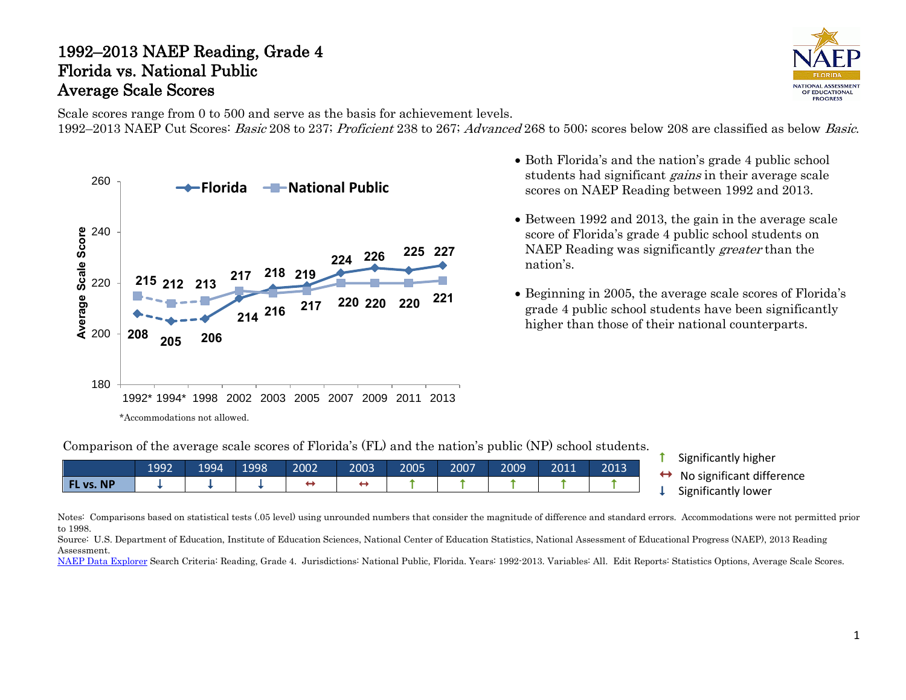# 1992–2013 NAEP Reading, Grade 4 Florida vs. National Public Average Scale Scores



Scale scores range from 0 to 500 and serve as the basis for achievement levels. 1992–2013 NAEP Cut Scores: Basic 208 to 237; Proficient 238 to 267; Advanced 268 to 500; scores below 208 are classified as below Basic.



- Both Florida's and the nation's grade 4 public school students had significant gains in their average scale scores on NAEP Reading between 1992 and 2013.
- Between 1992 and 2013, the gain in the average scale score of Florida's grade 4 public school students on NAEP Reading was significantly *greater* than the nation's.
- Beginning in 2005, the average scale scores of Florida's grade 4 public school students have been significantly higher than those of their national counterparts.

Comparison of the average scale scores of Florida's (FL) and the nation's public (NP) school students.

| 2009<br>2011<br>2003<br>2007<br>2002<br>2005<br>1992<br>1994<br>1998<br>2013 | $\cdots$                 |
|------------------------------------------------------------------------------|--------------------------|
|                                                                              | $\cdot$ .                |
| FL vs. NP                                                                    | No significant differenc |
| $\sim$                                                                       | Significantly lower      |

- Significantly higher
- $\leftrightarrow$ No significant difference
- Significantly lower

Notes: Comparisons based on statistical tests (.05 level) using unrounded numbers that consider the magnitude of difference and standard errors. Accommodations were not permitted prior to 1998.

Source: U.S. Department of Education, Institute of Education Sciences, National Center of Education Statistics, National Assessment of Educational Progress (NAEP), 2013 Reading Assessment.

[NAEP Data Explorer](http://nces.ed.gov/nationsreportcard/naepdata/) Search Criteria: Reading, Grade 4. Jurisdictions: National Public, Florida. Years: 1992-2013. Variables: All. Edit Reports: Statistics Options, Average Scale Scores.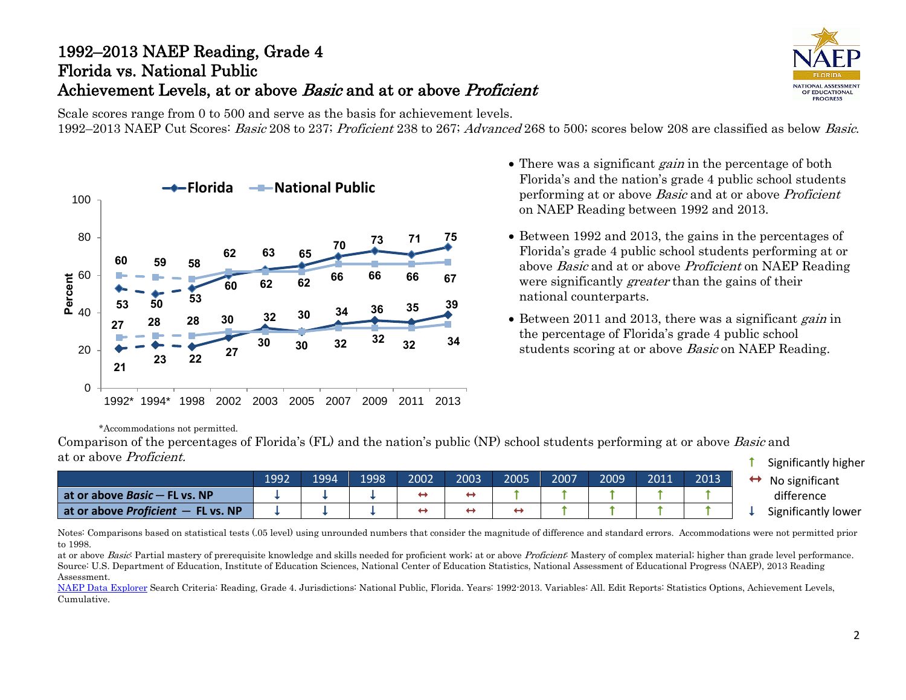# 1992–2013 NAEP Reading, Grade 4 Florida vs. National Public Achievement Levels, at or above *Basic* and at or above *Proficient*

**NATIONAL ASSESSMEN** OF EDUCATIONAL PROGRESS

Scale scores range from 0 to 500 and serve as the basis for achievement levels. 1992–2013 NAEP Cut Scores: Basic 208 to 237; Proficient 238 to 267; Advanced 268 to 500; scores below 208 are classified as below Basic.



- There was a significant *gain* in the percentage of both Florida's and the nation's grade 4 public school students performing at or above Basic and at or above Proficient on NAEP Reading between 1992 and 2013.
- Between 1992 and 2013, the gains in the percentages of Florida's grade 4 public school students performing at or above Basic and at or above Proficient on NAEP Reading were significantly *greater* than the gains of their national counterparts.
- Between 2011 and 2013, there was a significant gain in the percentage of Florida's grade 4 public school students scoring at or above *Basic* on NAEP Reading.

\*Accommodations not permitted.

 $\uparrow$  Significantly higher Comparison of the percentages of Florida's (FL) and the nation's public (NP) school students performing at or above Basic and at or above Proficient.

|                                      |      |      |       |      |      |      |      |      |      |      | ighthcantry ingher  |
|--------------------------------------|------|------|-------|------|------|------|------|------|------|------|---------------------|
|                                      | 1992 | 1994 | 1998, | 2002 | 2003 | 2005 | 2007 | 2009 | 2011 | 2013 | No significant      |
| at or above $Basic$ – FL vs. NP      |      |      |       |      | ↔    |      |      |      |      |      | difference          |
| at or above Proficient $-$ FL vs. NP |      |      |       |      | ↔    |      |      |      |      |      | Significantly lower |

Notes: Comparisons based on statistical tests (.05 level) using unrounded numbers that consider the magnitude of difference and standard errors. Accommodations were not permitted prior to 1998.

at or above Basic: Partial mastery of prerequisite knowledge and skills needed for proficient work; at or above Proficient: Mastery of complex material; higher than grade level performance. Source: U.S. Department of Education, Institute of Education Sciences, National Center of Education Statistics, National Assessment of Educational Progress (NAEP), 2013 Reading Assessment.

[NAEP Data Explorer](http://nces.ed.gov/nationsreportcard/naepdata/) Search Criteria: Reading, Grade 4. Jurisdictions: National Public, Florida. Years: 1992-2013. Variables: All. Edit Reports: Statistics Options, Achievement Levels, Cumulative.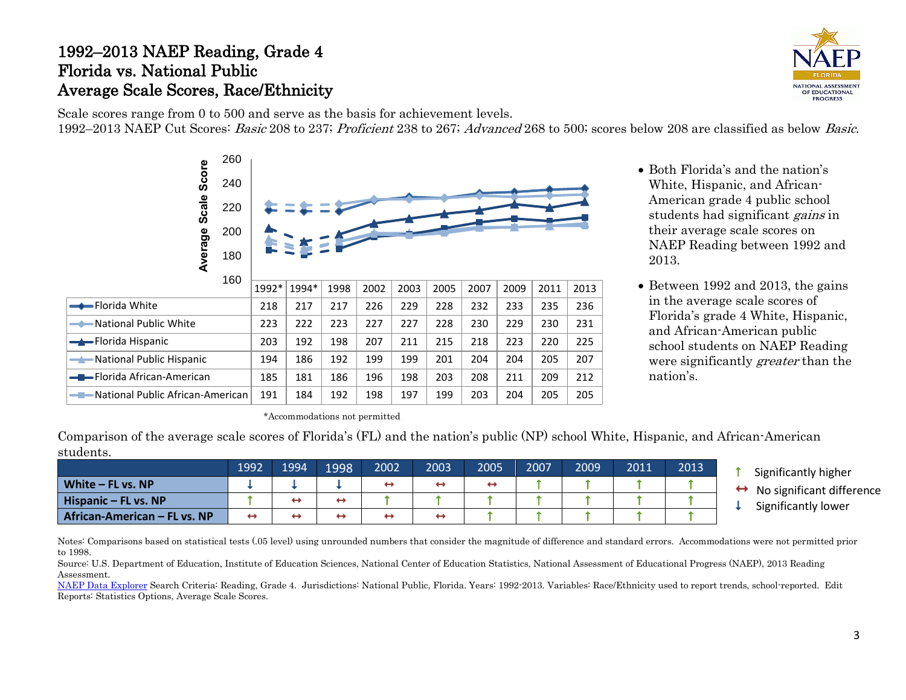### 1992–2013 NAEP Reading, Grade 4 Florida vs. National Public Average Scale Scores, Race/Ethnicity



Scale scores range from 0 to 500 and serve as the basis for achievement levels. 1992–2013 NAEP Cut Scores: Basic 208 to 237; Proficient 238 to 267; Advanced 268 to 500; scores below 208 are classified as below Basic.



- Both Florida's and the nation's White, Hispanic, and African-American grade 4 public school students had significant *gains* in their average scale scores on NAEP Reading between 1992 and 2013.
- Between 1992 and 2013, the gains in the average scale scores of Florida's grade 4 White, Hispanic, and African-American public school students on NAEP Reading were significantly *greater* than the nation's.

\*Accommodations not permitted

Comparison of the average scale scores of Florida's (FL) and the nation's public (NP) school White, Hispanic, and African-American students.

|                              | 1992 | 1994 | 1998 | 2002              | 2003              | 2005 | 2007 | 2009 | 2011 | 2013 | Significantly higher      |
|------------------------------|------|------|------|-------------------|-------------------|------|------|------|------|------|---------------------------|
| White $-$ FL vs. NP          |      |      |      | $\leftrightarrow$ | $\leftrightarrow$ |      |      |      |      |      | No significant difference |
| Hispanic $-$ FL vs. NP       |      | e ma | ↔    |                   |                   |      |      |      |      |      | Significantly lower       |
| African-American – FL vs. NP | ↔    |      | ↔    | ↔                 | ↔                 |      |      |      |      |      |                           |

Notes: Comparisons based on statistical tests (.05 level) using unrounded numbers that consider the magnitude of difference and standard errors. Accommodations were not permitted prior to 1998.

Source: U.S. Department of Education, Institute of Education Sciences, National Center of Education Statistics, National Assessment of Educational Progress (NAEP), 2013 Reading Assessment.

[NAEP Data Explorer](http://nces.ed.gov/nationsreportcard/naepdata/) Search Criteria: Reading, Grade 4. Jurisdictions: National Public, Florida. Years: 1992-2013. Variables: Race/Ethnicity used to report trends, school-reported. Edit Reports: Statistics Options, Average Scale Scores.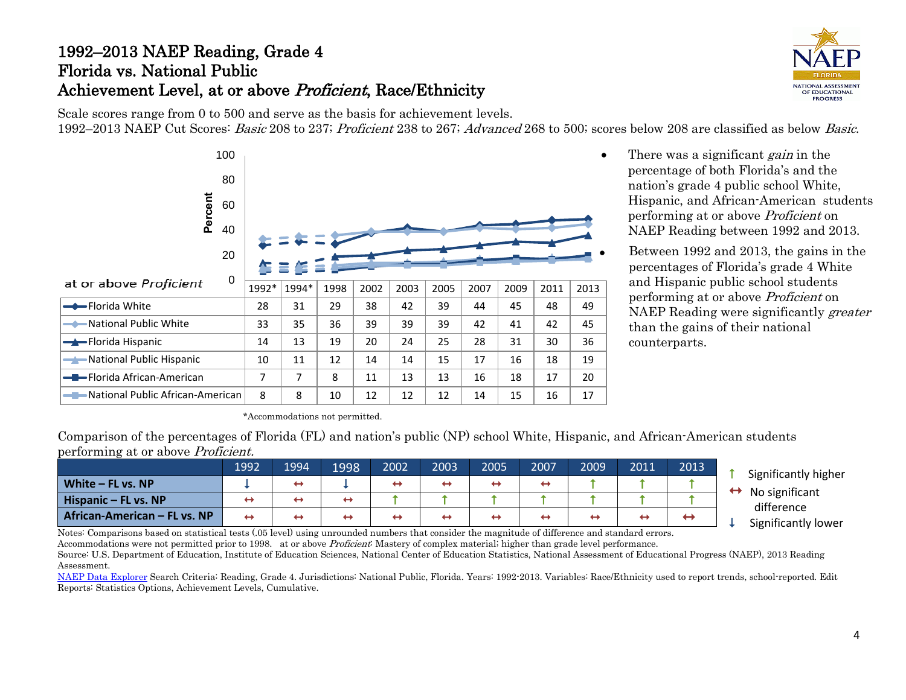# 1992–2013 NAEP Reading, Grade 4 Florida vs. National Public Achievement Level, at or above Proficient, Race/Ethnicity



Scale scores range from 0 to 500 and serve as the basis for achievement levels. 1992–2013 NAEP Cut Scores: Basic 208 to 237; Proficient 238 to 267; Advanced 268 to 500; scores below 208 are classified as below Basic.



- There was a significant *gain* in the percentage of both Florida's and the nation's grade 4 public school White, Hispanic, and African-American students performing at or above Proficient on NAEP Reading between 1992 and 2013.
	- Between 1992 and 2013, the gains in the percentages of Florida's grade 4 White and Hispanic public school students performing at or above Proficient on NAEP Reading were significantly greater than the gains of their national counterparts.

\*Accommodations not permitted.

Comparison of the percentages of Florida (FL) and nation's public (NP) school White, Hispanic, and African-American students performing at or above Proficient.

|                                    | 1992              | 1994                     | 1998 | 2002 | 2003 | 2005 | 2007              | 2009 | 2011 | 2013 | Significantly higher |
|------------------------------------|-------------------|--------------------------|------|------|------|------|-------------------|------|------|------|----------------------|
| White $-$ FL vs. NP                |                   | $\overline{\phantom{0}}$ |      | ↔    | ↔    | ↔    | $\leftrightarrow$ |      |      |      | ↔<br>No significant  |
| Hispanic – FL vs. NP               | $\leftrightarrow$ | $\overline{\phantom{0}}$ | ↔    |      |      |      |                   |      |      |      | difference           |
| African-American – FL vs. NP<br>__ | ↔                 | $\leftrightarrow$        | ↔    | ↔    | ↔    | ↔    | ↔<br>.            |      | ↔    |      | Significantly lower  |

Notes: Comparisons based on statistical tests (.05 level) using unrounded numbers that consider the magnitude of difference and standard errors. Accommodations were not permitted prior to 1998. at or above *Proficient*: Mastery of complex material; higher than grade level performance.

Source: U.S. Department of Education, Institute of Education Sciences, National Center of Education Statistics, National Assessment of Educational Progress (NAEP), 2013 Reading Assessment.

[NAEP Data Explorer](http://nces.ed.gov/nationsreportcard/naepdata/) Search Criteria: Reading, Grade 4. Jurisdictions: National Public, Florida. Years: 1992-2013. Variables: Race/Ethnicity used to report trends, school-reported. Edit Reports: Statistics Options, Achievement Levels, Cumulative.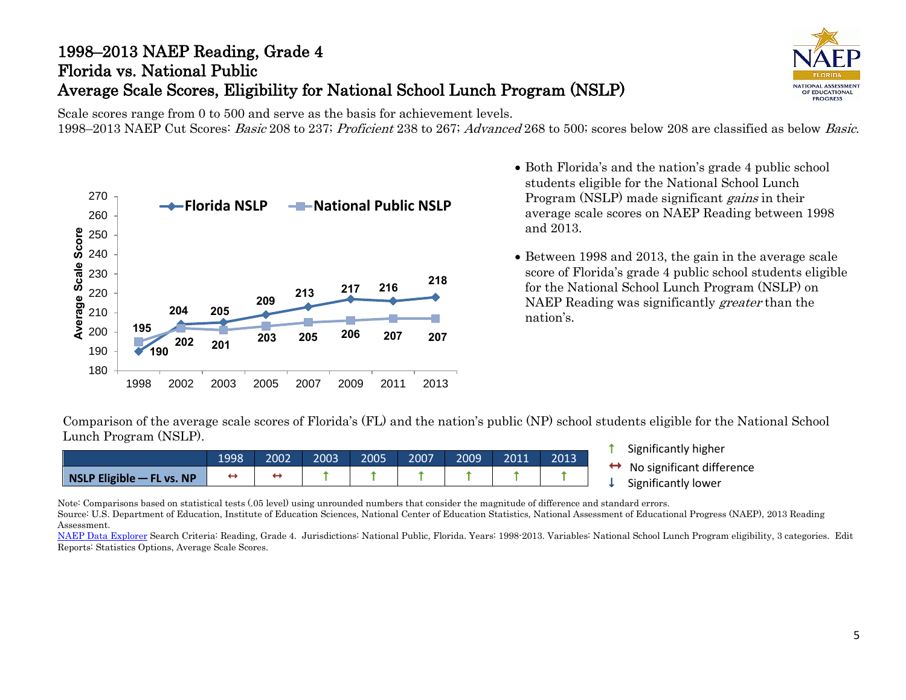# 1998–2013 NAEP Reading, Grade 4 Florida vs. National Public Average Scale Scores, Eligibility for National School Lunch Program (NSLP)



Scale scores range from 0 to 500 and serve as the basis for achievement levels. 1998–2013 NAEP Cut Scores: Basic 208 to 237; Proficient 238 to 267; Advanced 268 to 500; scores below 208 are classified as below Basic.



- Both Florida's and the nation's grade 4 public school students eligible for the National School Lunch Program (NSLP) made significant *gains* in their average scale scores on NAEP Reading between 1998 and 2013.
- Between 1998 and 2013, the gain in the average scale score of Florida's grade 4 public school students eligible for the National School Lunch Program (NSLP) on NAEP Reading was significantly greater than the nation's.

Comparison of the average scale scores of Florida's (FL) and the nation's public (NP) school students eligible for the National School Lunch Program (NSLP).

|                                                                           | 1998 | 2002 | 2003 | 2005 | 2007 | 2009 | 2011 | 2013 |
|---------------------------------------------------------------------------|------|------|------|------|------|------|------|------|
| $\overline{\phantom{a}}$ NSLP Eligible $\overline{\phantom{a}}$ FL vs. NP |      |      |      |      |      |      |      |      |

- **t** Significantly higher
- $\leftrightarrow$  No significant difference<br>  $\downarrow$  Significantly lower
- 

Note: Comparisons based on statistical tests (.05 level) using unrounded numbers that consider the magnitude of difference and standard errors.

Source: U.S. Department of Education, Institute of Education Sciences, National Center of Education Statistics, National Assessment of Educational Progress (NAEP), 2013 Reading Assessment.

[NAEP Data Explorer](http://nces.ed.gov/nationsreportcard/naepdata/) Search Criteria: Reading, Grade 4. Jurisdictions: National Public, Florida. Years: 1998-2013. Variables: National School Lunch Program eligibility, 3 categories. Edit Reports: Statistics Options, Average Scale Scores.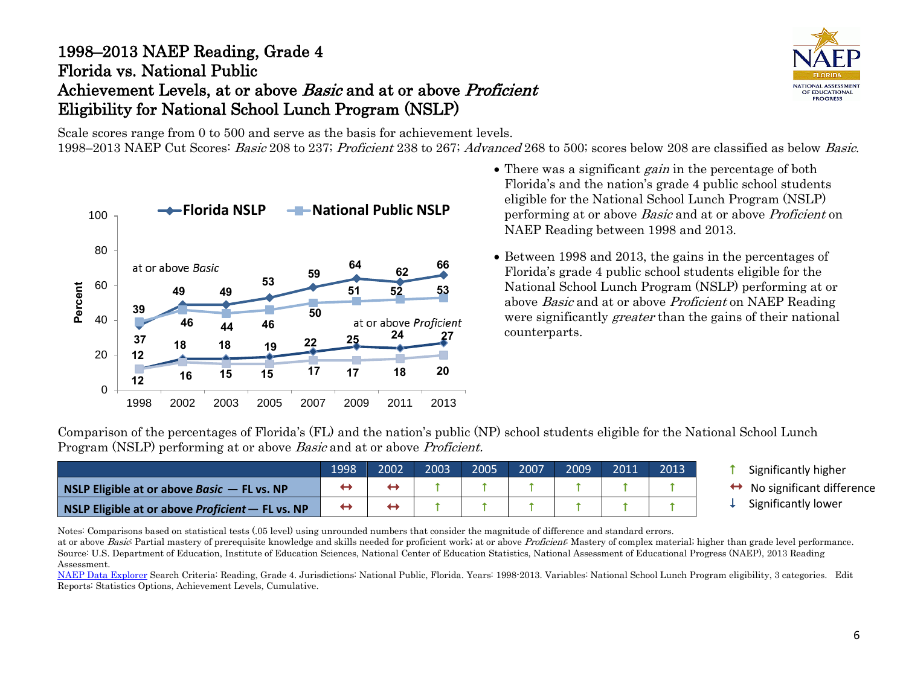### 1998–2013 NAEP Reading, Grade 4 Florida vs. National Public Achievement Levels, at or above *Basic* and at or above *Proficient* Eligibility for National School Lunch Program (NSLP)



Scale scores range from 0 to 500 and serve as the basis for achievement levels.

1998–2013 NAEP Cut Scores: Basic 208 to 237; Proficient 238 to 267; Advanced 268 to 500; scores below 208 are classified as below Basic.



- There was a significant *gain* in the percentage of both Florida's and the nation's grade 4 public school students eligible for the National School Lunch Program (NSLP) performing at or above Basic and at or above Proficient on NAEP Reading between 1998 and 2013.
- Between 1998 and 2013, the gains in the percentages of Florida's grade 4 public school students eligible for the National School Lunch Program (NSLP) performing at or above Basic and at or above Proficient on NAEP Reading were significantly *greater* than the gains of their national counterparts.

Comparison of the percentages of Florida's (FL) and the nation's public (NP) school students eligible for the National School Lunch Program (NSLP) performing at or above *Basic* and at or above *Proficient*.

|                                                  | 1998 | 2002 | 2003 | 2005 | 2007 | 2009 | 2011 |  |
|--------------------------------------------------|------|------|------|------|------|------|------|--|
| NSLP Eligible at or above Basic $-$ FL vs. NP    |      |      |      |      |      |      |      |  |
| NSLP Eligible at or above Proficient - FL vs. NP |      |      |      |      |      |      |      |  |

 Significantly higher No significant difference Significantly lower

Notes: Comparisons based on statistical tests (.05 level) using unrounded numbers that consider the magnitude of difference and standard errors. at or above Basic: Partial mastery of prerequisite knowledge and skills needed for proficient work; at or above Proficient: Mastery of complex material; higher than grade level performance.

Source: U.S. Department of Education, Institute of Education Sciences, National Center of Education Statistics, National Assessment of Educational Progress (NAEP), 2013 Reading Assessment.

[NAEP Data Explorer](http://nces.ed.gov/nationsreportcard/naepdata/) Search Criteria: Reading, Grade 4. Jurisdictions: National Public, Florida. Years: 1998-2013. Variables: National School Lunch Program eligibility, 3 categories. Edit Reports: Statistics Options, Achievement Levels, Cumulative.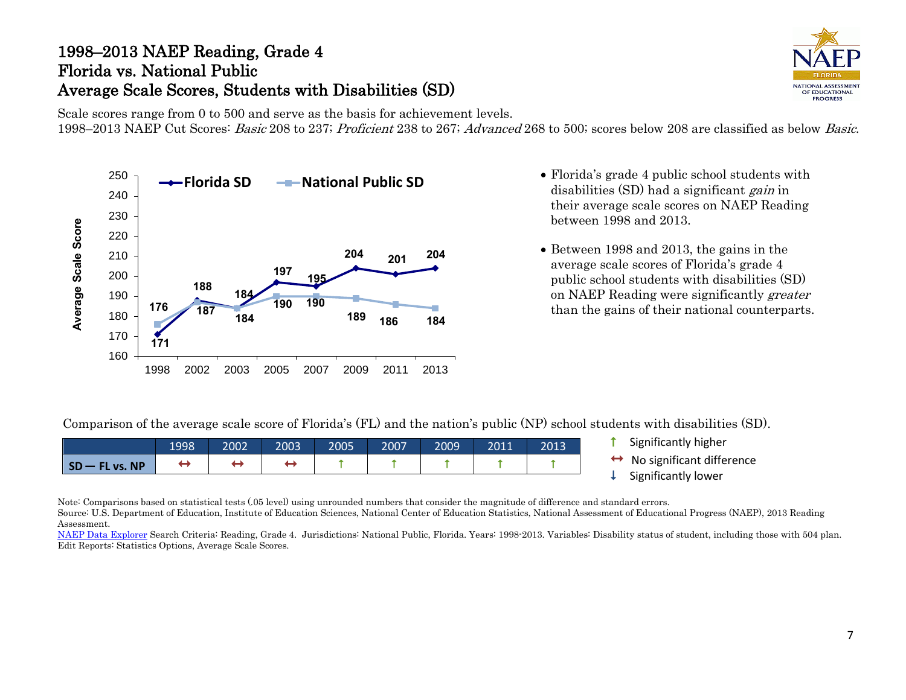### 1998–2013 NAEP Reading, Grade 4 Florida vs. National Public Average Scale Scores, Students with Disabilities (SD)



Scale scores range from 0 to 500 and serve as the basis for achievement levels. 1998–2013 NAEP Cut Scores: Basic 208 to 237; Proficient 238 to 267; Advanced 268 to 500; scores below 208 are classified as below Basic.



- disabilities (SD) had a significant *gain* in their average scale scores on NAEP Reading between 1998 and 2013.
- Between 1998 and 2013, the gains in the average scale scores of Florida's grade 4 public school students with disabilities (SD) on NAEP Reading were significantly greater than the gains of their national counterparts.

Comparison of the average scale score of Florida's (FL) and the nation's public (NP) school students with disabilities (SD).

|                                  | 1998 | 2002 | 2003 | 2005 | 2007 | 2009' | 2011 | 2013 |
|----------------------------------|------|------|------|------|------|-------|------|------|
| $\mathsf{SD}-\mathsf{FL}$ vs. NP |      |      |      |      |      |       |      |      |

- **t** Significantly higher
- No significant difference Significantly lower
- 

Note: Comparisons based on statistical tests (.05 level) using unrounded numbers that consider the magnitude of difference and standard errors.

Source: U.S. Department of Education, Institute of Education Sciences, National Center of Education Statistics, National Assessment of Educational Progress (NAEP), 2013 Reading Assessment.

[NAEP Data Explorer](http://nces.ed.gov/nationsreportcard/naepdata/) Search Criteria: Reading, Grade 4. Jurisdictions: National Public, Florida. Years: 1998-2013. Variables: Disability status of student, including those with 504 plan. Edit Reports: Statistics Options, Average Scale Scores.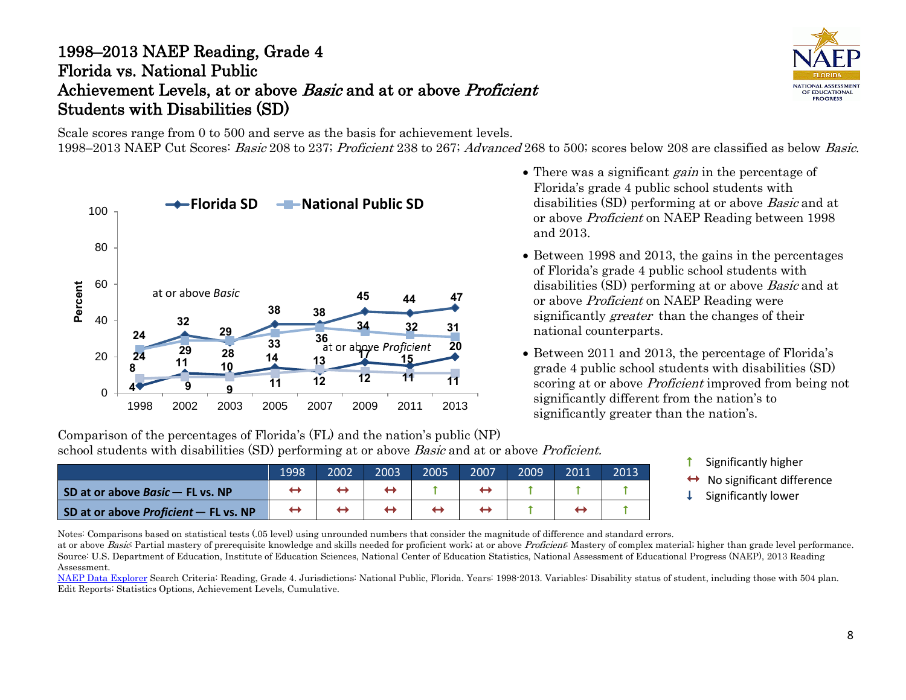## 1998–2013 NAEP Reading, Grade 4 Florida vs. National Public Achievement Levels, at or above Basic and at or above Proficient Students with Disabilities (SD)

Scale scores range from 0 to 500 and serve as the basis for achievement levels.

1998–2013 NAEP Cut Scores: Basic 208 to 237; Proficient 238 to 267; Advanced 268 to 500; scores below 208 are classified as below Basic.



• There was a significant *gain* in the percentage of Florida's grade 4 public school students with disabilities (SD) performing at or above Basic and at or above Proficient on NAEP Reading between 1998 and 2013.

- Between 1998 and 2013, the gains in the percentages of Florida's grade 4 public school students with disabilities (SD) performing at or above Basic and at or above Proficient on NAEP Reading were significantly greater than the changes of their national counterparts.
- Between 2011 and 2013, the percentage of Florida's grade 4 public school students with disabilities (SD) scoring at or above *Proficient* improved from being not significantly different from the nation's to significantly greater than the nation's.

Comparison of the percentages of Florida's (FL) and the nation's public (NP) school students with disabilities (SD) performing at or above *Basic* and at or above *Proficient*.

- 1998 2002 2003 2005 2007 2009 2011 2013 **SD at or above Basic – FL vs. NP**  $\rightarrow$   $\rightarrow$   $\rightarrow$   $\rightarrow$   $\rightarrow$   $\rightarrow$   $\uparrow$   $\rightarrow$   $\uparrow$   $\uparrow$   $\uparrow$   $\uparrow$   $\uparrow$   $\uparrow$ **SD at or above Proficient** – **FL vs. NP**  $\begin{array}{c|c|c|c|c|c|c|c} \leftrightarrow & \leftrightarrow & \leftrightarrow & \leftrightarrow & \uparrow & \uparrow & \leftrightarrow & \uparrow & \uparrow \end{array}$  $\uparrow$
- Significantly higher
- No significant difference Significantly lower
- 

Notes: Comparisons based on statistical tests (.05 level) using unrounded numbers that consider the magnitude of difference and standard errors.

at or above Basic: Partial mastery of prerequisite knowledge and skills needed for proficient work; at or above Proficient: Mastery of complex material; higher than grade level performance. Source: U.S. Department of Education, Institute of Education Sciences, National Center of Education Statistics, National Assessment of Educational Progress (NAEP), 2013 Reading Assessment.

[NAEP Data Explorer](http://nces.ed.gov/nationsreportcard/naepdata/) Search Criteria: Reading, Grade 4. Jurisdictions: National Public, Florida. Years: 1998-2013. Variables: Disability status of student, including those with 504 plan. Edit Reports: Statistics Options, Achievement Levels, Cumulative.

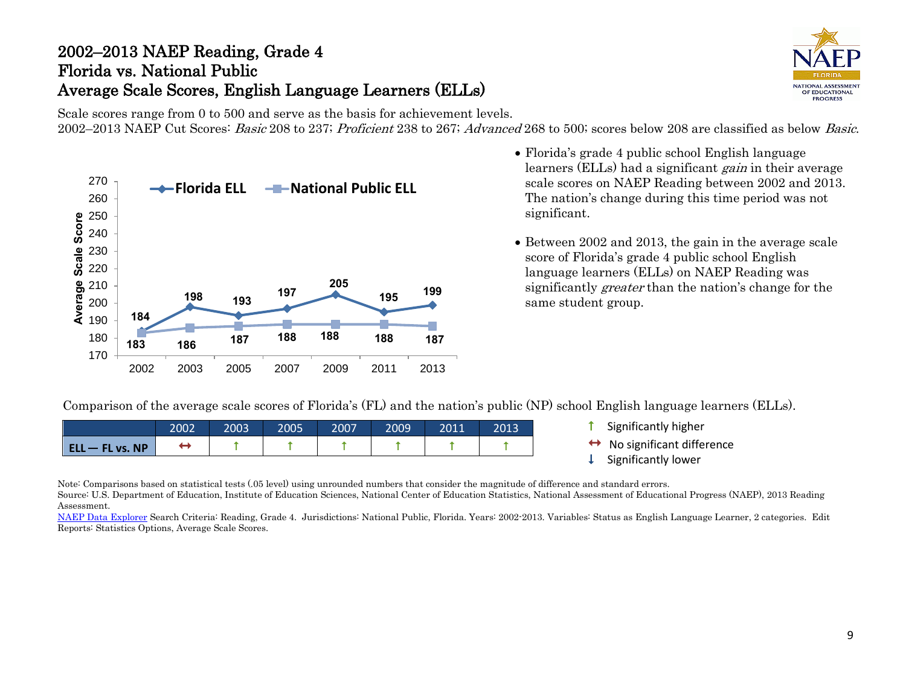# 2002–2013 NAEP Reading, Grade 4 Florida vs. National Public Average Scale Scores, English Language Learners (ELLs)



Scale scores range from 0 to 500 and serve as the basis for achievement levels. 2002–2013 NAEP Cut Scores: Basic 208 to 237; Proficient 238 to 267; Advanced 268 to 500; scores below 208 are classified as below Basic.



- Florida's grade 4 public school English language learners (ELLs) had a significant *gain* in their average scale scores on NAEP Reading between 2002 and 2013. The nation's change during this time period was not significant.
- Between 2002 and 2013, the gain in the average scale score of Florida's grade 4 public school English language learners (ELLs) on NAEP Reading was significantly greater than the nation's change for the same student group.

Comparison of the average scale scores of Florida's (FL) and the nation's public (NP) school English language learners (ELLs).

|                   | 2002 | 2003 | 2005 | 2007 | 2009 | 2011 | 2013 |
|-------------------|------|------|------|------|------|------|------|
| $ELL - FL vs. NP$ |      |      |      |      |      |      |      |

- **1** Significantly higher
- $\leftrightarrow$  No significant difference<br>  $\downarrow$  Significantly lower
- 

Note: Comparisons based on statistical tests (.05 level) using unrounded numbers that consider the magnitude of difference and standard errors.

Source: U.S. Department of Education, Institute of Education Sciences, National Center of Education Statistics, National Assessment of Educational Progress (NAEP), 2013 Reading Assessment.

[NAEP Data Explorer](http://nces.ed.gov/nationsreportcard/naepdata/) Search Criteria: Reading, Grade 4. Jurisdictions: National Public, Florida. Years: 2002-2013. Variables: Status as English Language Learner, 2 categories. Edit Reports: Statistics Options, Average Scale Scores.